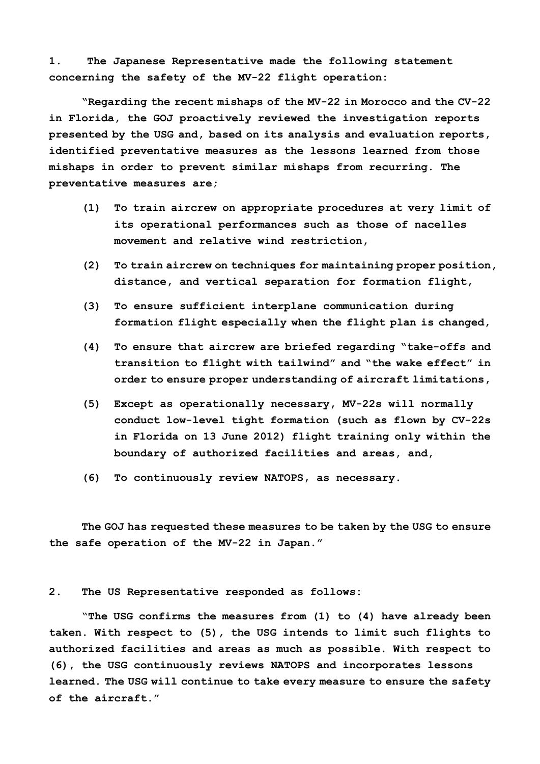**1. The Japanese Representative made the following statement concerning the safety of the MV-22 flight operation:** 

**"Regarding the recent mishaps of the MV-22 in Morocco and the CV-22 in Florida, the GOJ proactively reviewed the investigation reports presented by the USG and, based on its analysis and evaluation reports, identified preventative measures as the lessons learned from those mishaps in order to prevent similar mishaps from recurring. The preventative measures are;** 

- **(1) To train aircrew on appropriate procedures at very limit of its operational performances such as those of nacelles movement and relative wind restriction,**
- **(2) To train aircrew on techniques for maintaining proper position, distance, and vertical separation for formation flight,**
- **(3) To ensure sufficient interplane communication during formation flight especially when the flight plan is changed,**
- **(4) To ensure that aircrew are briefed regarding "take-offs and transition to flight with tailwind" and "the wake effect" in order to ensure proper understanding of aircraft limitations,**
- **(5) Except as operationally necessary, MV-22s will normally conduct low-level tight formation (such as flown by CV-22s in Florida on 13 June 2012) flight training only within the boundary of authorized facilities and areas, and,**
- **(6) To continuously review NATOPS, as necessary.**

**The GOJ has requested these measures to be taken by the USG to ensure the safe operation of the MV-22 in Japan."** 

## **2. The US Representative responded as follows:**

**"The USG confirms the measures from (1) to (4) have already been taken. With respect to (5), the USG intends to limit such flights to authorized facilities and areas as much as possible. With respect to (6), the USG continuously reviews NATOPS and incorporates lessons learned. The USG will continue to take every measure to ensure the safety of the aircraft."**